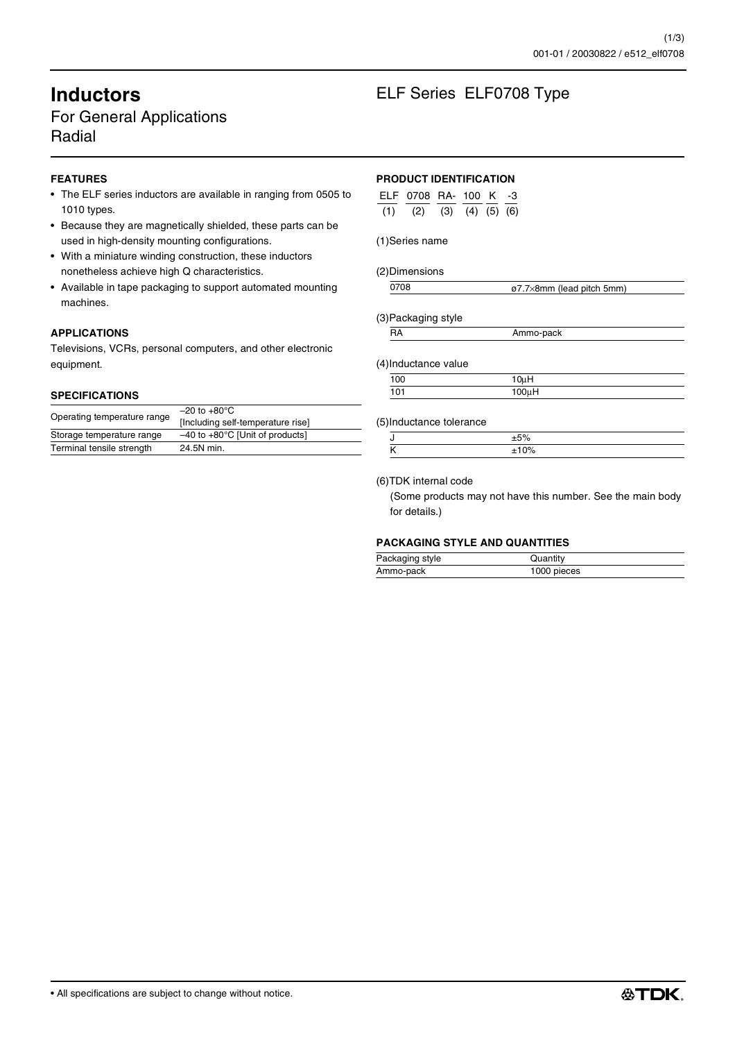# For General Applications Radial

# **FEATURES**

- The ELF series inductors are available in ranging from 0505 to 1010 types.
- Because they are magnetically shielded, these parts can be used in high-density mounting configurations.
- With a miniature winding construction, these inductors nonetheless achieve high Q characteristics.
- Available in tape packaging to support automated mounting machines.

## **APPLICATIONS**

Televisions, VCRs, personal computers, and other electronic equipment.

#### **SPECIFICATIONS**

| Operating temperature range | $-20$ to $+80^{\circ}$ C                    |
|-----------------------------|---------------------------------------------|
|                             | [Including self-temperature rise]           |
| Storage temperature range   | $-40$ to $+80^{\circ}$ C [Unit of products] |
| Terminal tensile strength   | 24.5N min.                                  |

# **Inductors** ELF Series ELF0708 Type

## **PRODUCT IDENTIFICATION**

| ELF 0708 RA- 100 K -3               |  |  |
|-------------------------------------|--|--|
| $(1)$ $(2)$ $(3)$ $(4)$ $(5)$ $(6)$ |  |  |

#### (1)Series name

(2)Dimensions

| 0708 | ø7.7×8mm (lead pitch 5mm) |
|------|---------------------------|
|      |                           |

(3)Packaging style

| . |  |
|---|--|
|   |  |

(4)Inductance value

| 100 | $10\mu$ H |  |
|-----|-----------|--|
| 101 | 100uH     |  |
|     |           |  |

#### (5)Inductance tolerance

#### (6)TDK internal code

(Some products may not have this number. See the main body for details.)

# **PACKAGING STYLE AND QUANTITIES**

| Packaging style | Quantity    |
|-----------------|-------------|
| Ammo-pack       | 1000 pieces |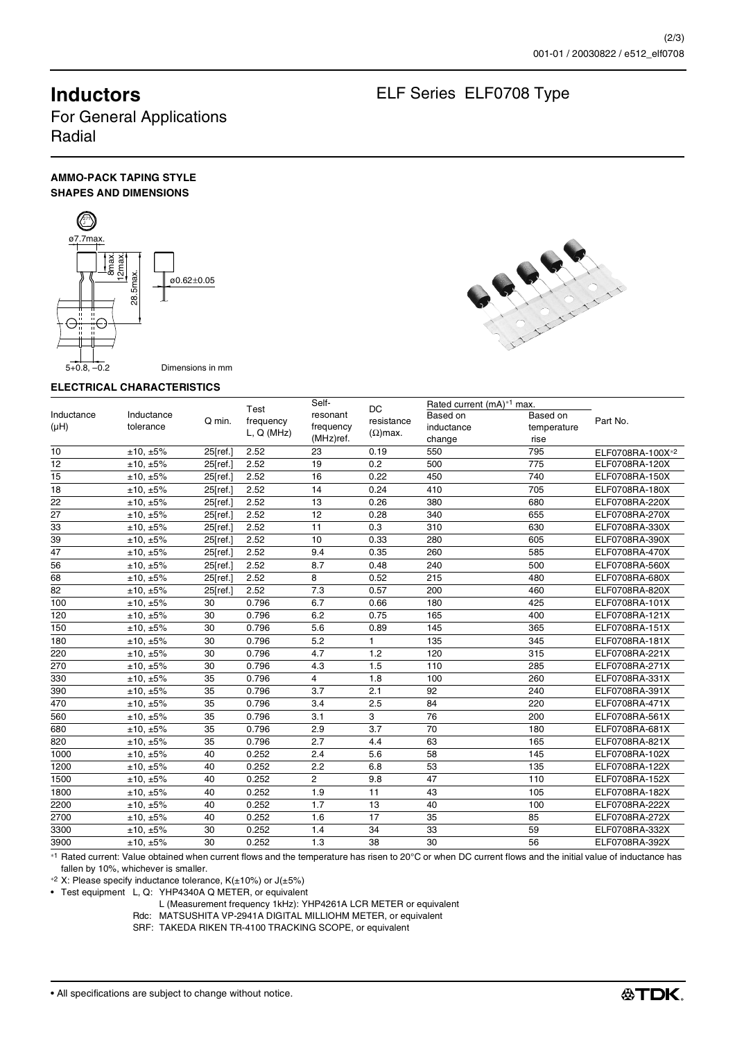# **Inductors** ELF Series ELF0708 Type

For General Applications Radial

## **AMMO-PACK TAPING STYLE SHAPES AND DIMENSIONS**





#### **ELECTRICAL CHARACTERISTICS**

| $\begin{array}{c}\n\overline{\text{smax}}\\ \overline{\text{12max}}\n\end{array}$<br>.5max.<br>A THERMAN<br>ø0.62±0.05<br>28.<br>⊖÷<br>₩<br>$5+0.8, -0.2$<br>Dimensions in mm |                                   |                      |                                 |                                             |                                      |                                                                           |                                 |                                  |  |
|-------------------------------------------------------------------------------------------------------------------------------------------------------------------------------|-----------------------------------|----------------------|---------------------------------|---------------------------------------------|--------------------------------------|---------------------------------------------------------------------------|---------------------------------|----------------------------------|--|
|                                                                                                                                                                               | <b>ELECTRICAL CHARACTERISTICS</b> |                      |                                 |                                             |                                      |                                                                           |                                 |                                  |  |
| Inductance<br>(μH)                                                                                                                                                            | Inductance<br>tolerance           | Q min.               | Test<br>frequency<br>L, Q (MHz) | Self-<br>resonant<br>frequency<br>(MHz)ref. | DC.<br>resistance<br>$(\Omega)$ max. | Rated current (mA) <sup>*1</sup> max.<br>Based on<br>inductance<br>change | Based on<br>temperature<br>rise | Part No.                         |  |
| 10                                                                                                                                                                            | ±10, ±5%                          | 25[ref.]             | 2.52                            | 23                                          | 0.19                                 | 550                                                                       | 795                             | ELF0708RA-100X*2                 |  |
| 12                                                                                                                                                                            | ±10.±5%                           | 25[ref.]             | 2.52                            | 19                                          | 0.2                                  | 500                                                                       | 775                             | ELF0708RA-120X                   |  |
| 15                                                                                                                                                                            | ±10, ±5%                          | 25[ref.]             | 2.52                            | 16                                          | 0.22                                 | 450                                                                       | 740                             | ELF0708RA-150X                   |  |
| 18                                                                                                                                                                            | ±10, ±5%                          | 25[ref.]             | 2.52                            | 14                                          | 0.24                                 | 410                                                                       | 705                             | ELF0708RA-180X                   |  |
| 22                                                                                                                                                                            | ±10, ±5%                          | 25[ref.]             | 2.52                            | 13                                          | 0.26                                 | 380                                                                       | 680                             | ELF0708RA-220X                   |  |
| 27                                                                                                                                                                            | ±10, ±5%                          | 25[ref.]             | 2.52                            | 12                                          | 0.28                                 | 340                                                                       | 655                             | ELF0708RA-270X                   |  |
| 33                                                                                                                                                                            | ±10, ±5%                          | 25[ref.]             | 2.52                            | 11                                          | 0.3                                  | 310                                                                       | 630                             | ELF0708RA-330X                   |  |
| 39                                                                                                                                                                            | ±10, ±5%                          | 25[ref.]             | 2.52                            | 10                                          | 0.33                                 | 280                                                                       | 605                             | ELF0708RA-390X                   |  |
| 47                                                                                                                                                                            | ±10, ±5%                          | 25[ref.]             | 2.52                            | 9.4                                         | 0.35                                 | 260                                                                       | 585                             | ELF0708RA-470X                   |  |
| 56<br>68                                                                                                                                                                      | ±10, ±5%<br>±10, ±5%              | 25[ref.]<br>25[ref.] | 2.52<br>2.52                    | 8.7<br>8                                    | 0.48<br>0.52                         | 240<br>215                                                                | 500<br>480                      | ELF0708RA-560X<br>ELF0708RA-680X |  |
| 82                                                                                                                                                                            | ±10, ±5%                          | 25[ref.]             | 2.52                            | 7.3                                         | 0.57                                 | 200                                                                       | 460                             | ELF0708RA-820X                   |  |
| 100                                                                                                                                                                           | ±10, ±5%                          | 30                   | 0.796                           | 6.7                                         | 0.66                                 | 180                                                                       | 425                             | ELF0708RA-101X                   |  |
| 120                                                                                                                                                                           | ±10, ±5%                          | 30                   | 0.796                           | 6.2                                         | 0.75                                 | 165                                                                       | 400                             | ELF0708RA-121X                   |  |
| 150                                                                                                                                                                           | ±10, ±5%                          | 30                   | 0.796                           | 5.6                                         | 0.89                                 | 145                                                                       | 365                             | ELF0708RA-151X                   |  |
| 180                                                                                                                                                                           | ±10, ±5%                          | 30                   | 0.796                           | 5.2                                         | $\mathbf{1}$                         | 135                                                                       | 345                             | ELF0708RA-181X                   |  |
| 220                                                                                                                                                                           | ±10, ±5%                          | 30                   | 0.796                           | 4.7                                         | 1.2                                  | 120                                                                       | 315                             | ELF0708RA-221X                   |  |
| 270                                                                                                                                                                           | ±10, ±5%                          | 30                   | 0.796                           | 4.3                                         | 1.5                                  | 110                                                                       | 285                             | ELF0708RA-271X                   |  |
| 330                                                                                                                                                                           | ±10, ±5%                          | 35                   | 0.796                           | 4                                           | 1.8                                  | 100                                                                       | 260                             | ELF0708RA-331X                   |  |
| 390                                                                                                                                                                           | ±10, ±5%                          | 35                   | 0.796                           | 3.7                                         | 2.1                                  | 92                                                                        | 240                             | ELF0708RA-391X                   |  |
| 470                                                                                                                                                                           | ±10, ±5%                          | 35                   | 0.796                           | 3.4                                         | 2.5                                  | 84                                                                        | 220                             | ELF0708RA-471X                   |  |
| 560                                                                                                                                                                           | ±10, ±5%                          | 35                   | 0.796                           | 3.1                                         | 3                                    | 76                                                                        | 200                             | ELF0708RA-561X                   |  |
| 680                                                                                                                                                                           | ±10, ±5%                          | 35                   | 0.796                           | 2.9                                         | 3.7                                  | 70                                                                        | 180                             | ELF0708RA-681X                   |  |
| 820                                                                                                                                                                           | ±10, ±5%                          | 35                   | 0.796                           | 2.7                                         | 4.4                                  | 63                                                                        | 165                             | ELF0708RA-821X                   |  |
| 1000                                                                                                                                                                          | ±10, ±5%                          | 40                   | 0.252                           | 2.4                                         | 5.6                                  | 58                                                                        | 145                             | ELF0708RA-102X                   |  |
| 1200                                                                                                                                                                          | ±10, ±5%                          | 40                   | 0.252                           | 2.2                                         | 6.8                                  | 53                                                                        | 135                             | ELF0708RA-122X                   |  |
| 1500                                                                                                                                                                          | ±10, ±5%                          | 40                   | 0.252                           | $\overline{2}$                              | 9.8                                  | 47                                                                        | 110                             | ELF0708RA-152X                   |  |
| 1800                                                                                                                                                                          | ±10, ±5%                          | 40                   | 0.252                           | 1.9                                         | 11                                   | 43                                                                        | 105                             | ELF0708RA-182X                   |  |
| 2200                                                                                                                                                                          | ±10, ±5%                          | 40                   | 0.252                           | 1.7                                         | 13                                   | 40                                                                        | 100                             | ELF0708RA-222X                   |  |
| 2700                                                                                                                                                                          | ±10, ±5%                          | 40                   | 0.252                           | 1.6                                         | 17                                   | 35                                                                        | 85                              | ELF0708RA-272X                   |  |
| 3300                                                                                                                                                                          | ±10, ±5%                          | 30                   | 0.252                           | 1.4                                         | 34                                   | 33                                                                        | 59                              | ELF0708RA-332X                   |  |
| 3900                                                                                                                                                                          | ±10, ±5%                          | 30                   | 0.252                           | 1.3                                         | 38                                   | 30                                                                        | 56                              | ELF0708RA-392X                   |  |

∗1 Rated current: Value obtained when current flows and the temperature has risen to 20°C or when DC current flows and the initial value of inductance has fallen by 10%, whichever is smaller.

∗2 X: Please specify inductance tolerance, K(±10%) or J(±5%)

• Test equipment L, Q: YHP4340A Q METER, or equivalent

L (Measurement frequency 1kHz): YHP4261A LCR METER or equivalent

Rdc: MATSUSHITA VP-2941A DIGITAL MILLIOHM METER, or equivalent

SRF: TAKEDA RIKEN TR-4100 TRACKING SCOPE, or equivalent